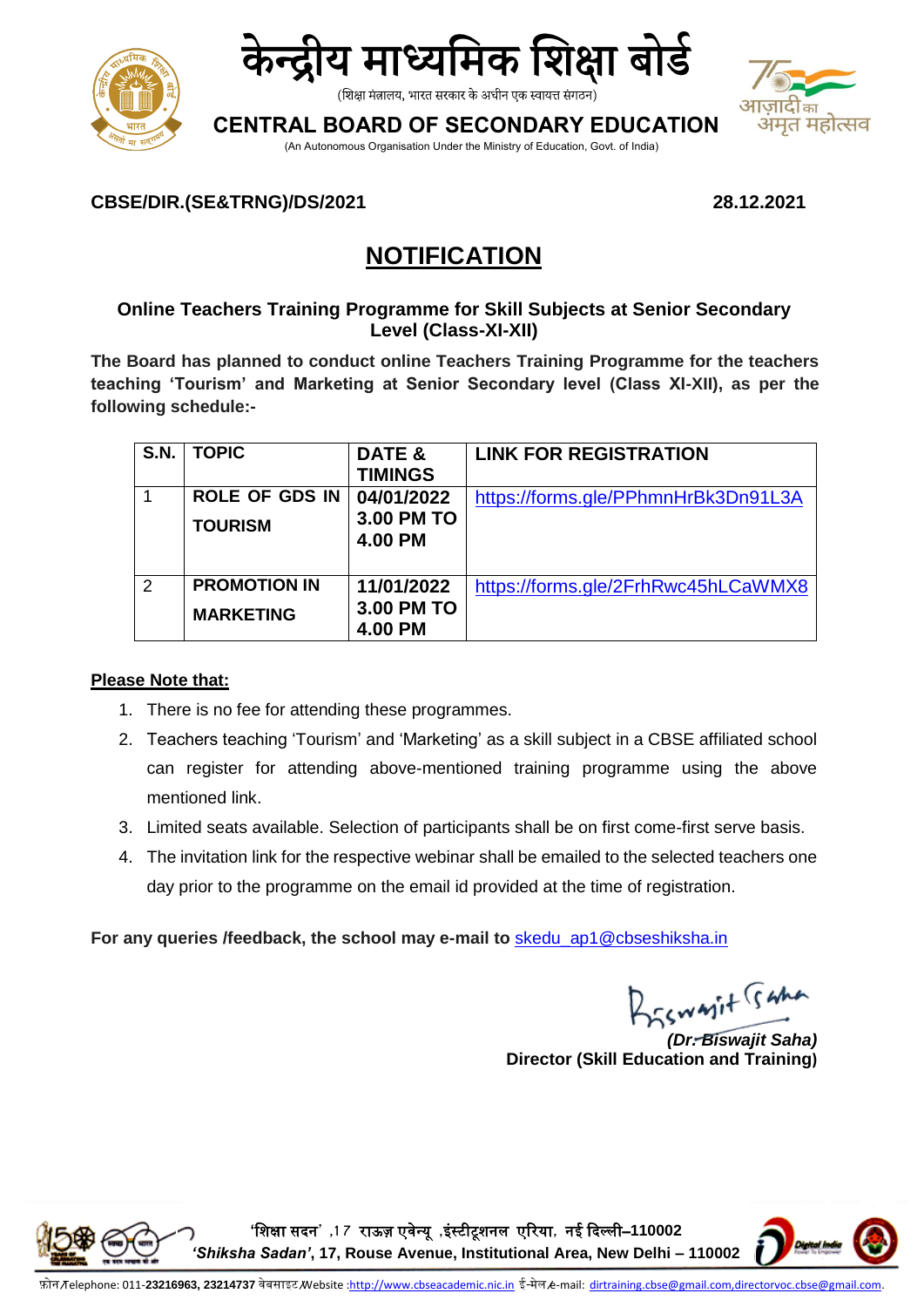



(शिक्षा मंत्रालय, भारत सरकार के अधीन एक स्वायत्त संगठन)

**CENTRAL BOARD OF SECONDARY EDUCATION**



(An Autonomous Organisation Under the Ministry of Education, Govt. of India)

## **CBSE/DIR.(SE&TRNG)/DS/2021 28.12.2021**

# **NOTIFICATION**

## **Online Teachers Training Programme for Skill Subjects at Senior Secondary Level (Class-XI-XII)**

**The Board has planned to conduct online Teachers Training Programme for the teachers teaching 'Tourism' and Marketing at Senior Secondary level (Class XI-XII), as per the following schedule:-**

| S.N.          | <b>TOPIC</b>                            | DATE &<br><b>TIMINGS</b>            | <b>LINK FOR REGISTRATION</b>        |
|---------------|-----------------------------------------|-------------------------------------|-------------------------------------|
|               | <b>ROLE OF GDS IN</b><br><b>TOURISM</b> | 04/01/2022<br>3.00 PM TO<br>4.00 PM | https://forms.gle/PPhmnHrBk3Dn91L3A |
| $\mathcal{P}$ | <b>PROMOTION IN</b><br><b>MARKETING</b> | 11/01/2022<br>3.00 PM TO<br>4.00 PM | https://forms.gle/2FrhRwc45hLCaWMX8 |

## **Please Note that:**

- 1. There is no fee for attending these programmes.
- 2. Teachers teaching 'Tourism' and 'Marketing' as a skill subject in a CBSE affiliated school can register for attending above-mentioned training programme using the above mentioned link.
- 3. Limited seats available. Selection of participants shall be on first come-first serve basis.
- 4. The invitation link for the respective webinar shall be emailed to the selected teachers one day prior to the programme on the email id provided at the time of registration.

For any queries /feedback, the school may e-mail to **skedu** ap1@cbseshiksha.in

BESWAIT Gama

*(Dr. Biswajit Saha)* **Director (Skill Education and Training)**